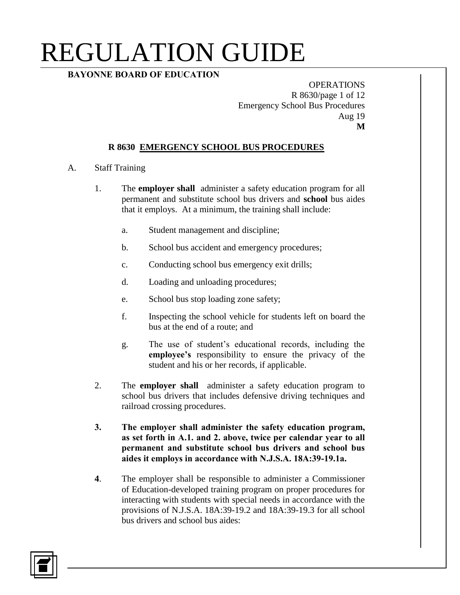## **BAYONNE BOARD OF EDUCATION**

**OPERATIONS** R 8630/page 1 of 12 Emergency School Bus Procedures Aug 19 **M**

#### **R 8630 EMERGENCY SCHOOL BUS PROCEDURES**

#### A. Staff Training

- 1. The **employer shall** administer a safety education program for all permanent and substitute school bus drivers and **school** bus aides that it employs. At a minimum, the training shall include:
	- a. Student management and discipline;
	- b. School bus accident and emergency procedures;
	- c. Conducting school bus emergency exit drills;
	- d. Loading and unloading procedures;
	- e. School bus stop loading zone safety;
	- f. Inspecting the school vehicle for students left on board the bus at the end of a route; and
	- g. The use of student's educational records, including the **employee's** responsibility to ensure the privacy of the student and his or her records, if applicable.
- 2. The **employer shall** administer a safety education program to school bus drivers that includes defensive driving techniques and railroad crossing procedures.
- **3. The employer shall administer the safety education program, as set forth in A.1. and 2. above, twice per calendar year to all permanent and substitute school bus drivers and school bus aides it employs in accordance with N.J.S.A. 18A:39-19.1a.**
- **4**. The employer shall be responsible to administer a Commissioner of Education-developed training program on proper procedures for interacting with students with special needs in accordance with the provisions of N.J.S.A. 18A:39-19.2 and 18A:39-19.3 for all school bus drivers and school bus aides:

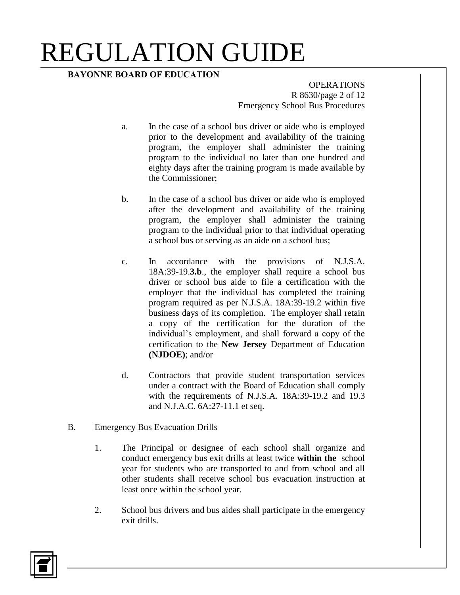## **BAYONNE BOARD OF EDUCATION**

**OPERATIONS** R 8630/page 2 of 12 Emergency School Bus Procedures

- a. In the case of a school bus driver or aide who is employed prior to the development and availability of the training program, the employer shall administer the training program to the individual no later than one hundred and eighty days after the training program is made available by the Commissioner;
- b. In the case of a school bus driver or aide who is employed after the development and availability of the training program, the employer shall administer the training program to the individual prior to that individual operating a school bus or serving as an aide on a school bus;
- c. In accordance with the provisions of N.J.S.A. 18A:39-19.**3.b**., the employer shall require a school bus driver or school bus aide to file a certification with the employer that the individual has completed the training program required as per N.J.S.A. 18A:39-19.2 within five business days of its completion. The employer shall retain a copy of the certification for the duration of the individual's employment, and shall forward a copy of the certification to the **New Jersey** Department of Education **(NJDOE)**; and/or
- d. Contractors that provide student transportation services under a contract with the Board of Education shall comply with the requirements of N.J.S.A. 18A:39-19.2 and 19.3 and N.J.A.C. 6A:27-11.1 et seq.
- B. Emergency Bus Evacuation Drills
	- 1. The Principal or designee of each school shall organize and conduct emergency bus exit drills at least twice **within the** school year for students who are transported to and from school and all other students shall receive school bus evacuation instruction at least once within the school year.
	- 2. School bus drivers and bus aides shall participate in the emergency exit drills.

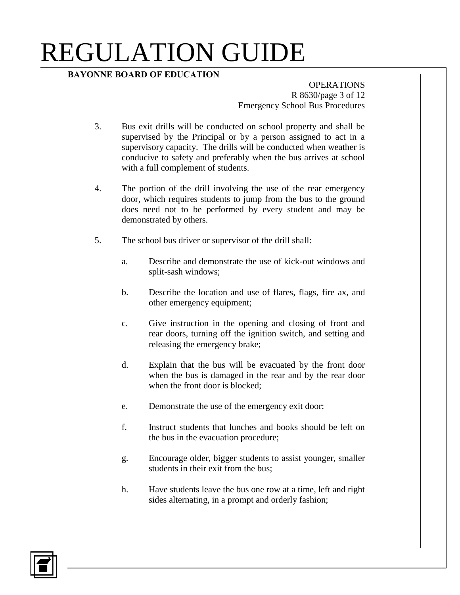## **BAYONNE BOARD OF EDUCATION**

**OPERATIONS** R 8630/page 3 of 12 Emergency School Bus Procedures

- 3. Bus exit drills will be conducted on school property and shall be supervised by the Principal or by a person assigned to act in a supervisory capacity. The drills will be conducted when weather is conducive to safety and preferably when the bus arrives at school with a full complement of students.
- 4. The portion of the drill involving the use of the rear emergency door, which requires students to jump from the bus to the ground does need not to be performed by every student and may be demonstrated by others.
- 5. The school bus driver or supervisor of the drill shall:
	- a. Describe and demonstrate the use of kick-out windows and split-sash windows;
	- b. Describe the location and use of flares, flags, fire ax, and other emergency equipment;
	- c. Give instruction in the opening and closing of front and rear doors, turning off the ignition switch, and setting and releasing the emergency brake;
	- d. Explain that the bus will be evacuated by the front door when the bus is damaged in the rear and by the rear door when the front door is blocked;
	- e. Demonstrate the use of the emergency exit door;
	- f. Instruct students that lunches and books should be left on the bus in the evacuation procedure;
	- g. Encourage older, bigger students to assist younger, smaller students in their exit from the bus;
	- h. Have students leave the bus one row at a time, left and right sides alternating, in a prompt and orderly fashion;

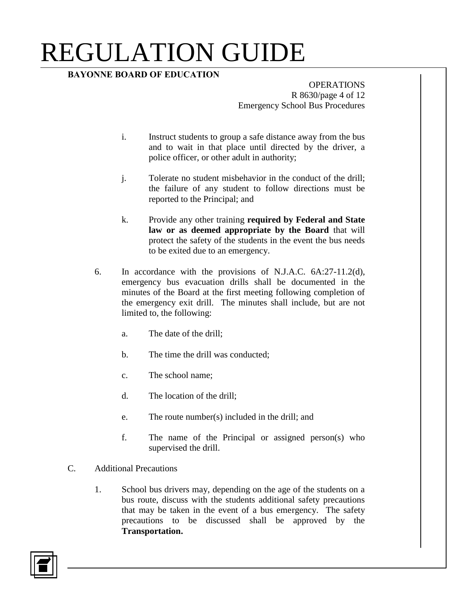## **BAYONNE BOARD OF EDUCATION**

**OPERATIONS** R 8630/page 4 of 12 Emergency School Bus Procedures

- i. Instruct students to group a safe distance away from the bus and to wait in that place until directed by the driver, a police officer, or other adult in authority;
- j. Tolerate no student misbehavior in the conduct of the drill; the failure of any student to follow directions must be reported to the Principal; and
- k. Provide any other training **required by Federal and State law or as deemed appropriate by the Board** that will protect the safety of the students in the event the bus needs to be exited due to an emergency.
- 6. In accordance with the provisions of N.J.A.C. 6A:27-11.2(d), emergency bus evacuation drills shall be documented in the minutes of the Board at the first meeting following completion of the emergency exit drill. The minutes shall include, but are not limited to, the following:
	- a. The date of the drill;
	- b. The time the drill was conducted;
	- c. The school name;
	- d. The location of the drill;
	- e. The route number(s) included in the drill; and
	- f. The name of the Principal or assigned person(s) who supervised the drill.
- C. Additional Precautions
	- 1. School bus drivers may, depending on the age of the students on a bus route, discuss with the students additional safety precautions that may be taken in the event of a bus emergency. The safety precautions to be discussed shall be approved by the **Transportation.**

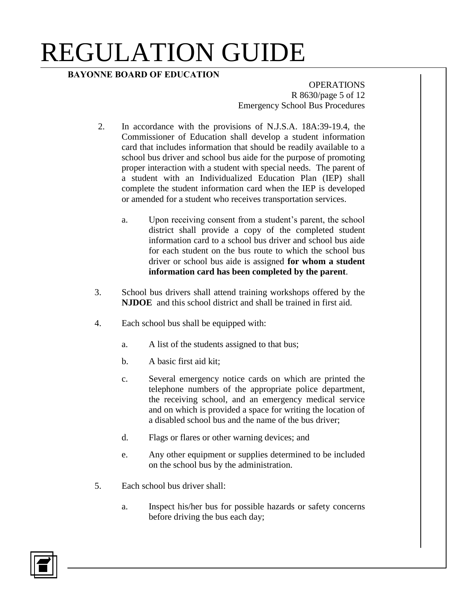## **BAYONNE BOARD OF EDUCATION**

**OPERATIONS** R 8630/page 5 of 12 Emergency School Bus Procedures

- 2. In accordance with the provisions of N.J.S.A. 18A:39-19.4, the Commissioner of Education shall develop a student information card that includes information that should be readily available to a school bus driver and school bus aide for the purpose of promoting proper interaction with a student with special needs. The parent of a student with an Individualized Education Plan (IEP) shall complete the student information card when the IEP is developed or amended for a student who receives transportation services.
	- a. Upon receiving consent from a student's parent, the school district shall provide a copy of the completed student information card to a school bus driver and school bus aide for each student on the bus route to which the school bus driver or school bus aide is assigned **for whom a student information card has been completed by the parent**.
- 3. School bus drivers shall attend training workshops offered by the **NJDOE** and this school district and shall be trained in first aid.
- 4. Each school bus shall be equipped with:
	- a. A list of the students assigned to that bus;
	- b. A basic first aid kit;
	- c. Several emergency notice cards on which are printed the telephone numbers of the appropriate police department, the receiving school, and an emergency medical service and on which is provided a space for writing the location of a disabled school bus and the name of the bus driver;
	- d. Flags or flares or other warning devices; and
	- e. Any other equipment or supplies determined to be included on the school bus by the administration.
- 5. Each school bus driver shall:
	- a. Inspect his/her bus for possible hazards or safety concerns before driving the bus each day;

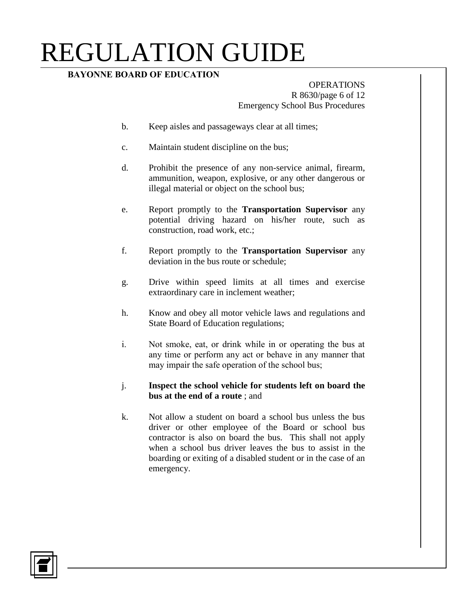## **BAYONNE BOARD OF EDUCATION**

#### OPERATIONS R 8630/page 6 of 12 Emergency School Bus Procedures

- b. Keep aisles and passageways clear at all times;
- c. Maintain student discipline on the bus;
- d. Prohibit the presence of any non-service animal, firearm, ammunition, weapon, explosive, or any other dangerous or illegal material or object on the school bus;
- e. Report promptly to the **Transportation Supervisor** any potential driving hazard on his/her route, such as construction, road work, etc.;
- f. Report promptly to the **Transportation Supervisor** any deviation in the bus route or schedule;
- g. Drive within speed limits at all times and exercise extraordinary care in inclement weather;
- h. Know and obey all motor vehicle laws and regulations and State Board of Education regulations;
- i. Not smoke, eat, or drink while in or operating the bus at any time or perform any act or behave in any manner that may impair the safe operation of the school bus;

#### j. **Inspect the school vehicle for students left on board the bus at the end of a route** ; and

k. Not allow a student on board a school bus unless the bus driver or other employee of the Board or school bus contractor is also on board the bus. This shall not apply when a school bus driver leaves the bus to assist in the boarding or exiting of a disabled student or in the case of an emergency.

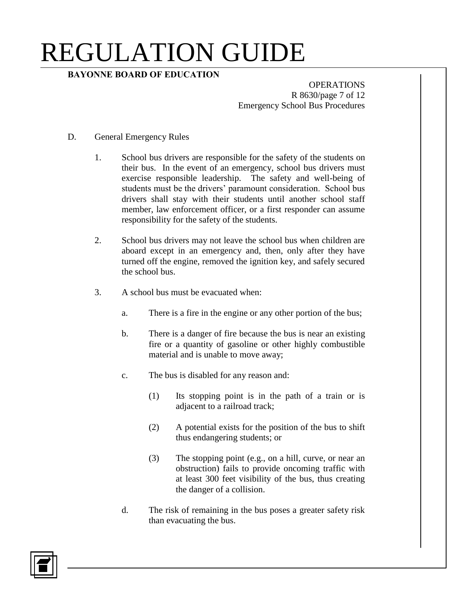## **BAYONNE BOARD OF EDUCATION**

**OPERATIONS** R 8630/page 7 of 12 Emergency School Bus Procedures

- D. General Emergency Rules
	- 1. School bus drivers are responsible for the safety of the students on their bus. In the event of an emergency, school bus drivers must exercise responsible leadership. The safety and well-being of students must be the drivers' paramount consideration. School bus drivers shall stay with their students until another school staff member, law enforcement officer, or a first responder can assume responsibility for the safety of the students.
	- 2. School bus drivers may not leave the school bus when children are aboard except in an emergency and, then, only after they have turned off the engine, removed the ignition key, and safely secured the school bus.
	- 3. A school bus must be evacuated when:
		- a. There is a fire in the engine or any other portion of the bus;
		- b. There is a danger of fire because the bus is near an existing fire or a quantity of gasoline or other highly combustible material and is unable to move away;
		- c. The bus is disabled for any reason and:
			- (1) Its stopping point is in the path of a train or is adjacent to a railroad track;
			- (2) A potential exists for the position of the bus to shift thus endangering students; or
			- (3) The stopping point (e.g., on a hill, curve, or near an obstruction) fails to provide oncoming traffic with at least 300 feet visibility of the bus, thus creating the danger of a collision.
		- d. The risk of remaining in the bus poses a greater safety risk than evacuating the bus.

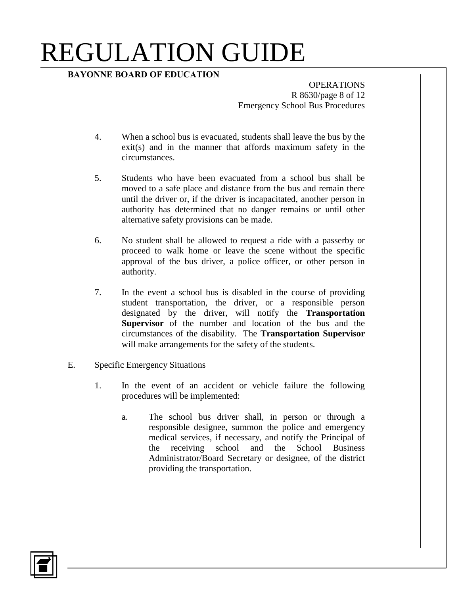### **BAYONNE BOARD OF EDUCATION**

**OPERATIONS** R 8630/page 8 of 12 Emergency School Bus Procedures

- 4. When a school bus is evacuated, students shall leave the bus by the exit(s) and in the manner that affords maximum safety in the circumstances.
- 5. Students who have been evacuated from a school bus shall be moved to a safe place and distance from the bus and remain there until the driver or, if the driver is incapacitated, another person in authority has determined that no danger remains or until other alternative safety provisions can be made.
- 6. No student shall be allowed to request a ride with a passerby or proceed to walk home or leave the scene without the specific approval of the bus driver, a police officer, or other person in authority.
- 7. In the event a school bus is disabled in the course of providing student transportation, the driver, or a responsible person designated by the driver, will notify the **Transportation Supervisor** of the number and location of the bus and the circumstances of the disability. The **Transportation Supervisor** will make arrangements for the safety of the students.
- E. Specific Emergency Situations
	- 1. In the event of an accident or vehicle failure the following procedures will be implemented:
		- a. The school bus driver shall, in person or through a responsible designee, summon the police and emergency medical services, if necessary, and notify the Principal of the receiving school and the School Business Administrator/Board Secretary or designee, of the district providing the transportation.

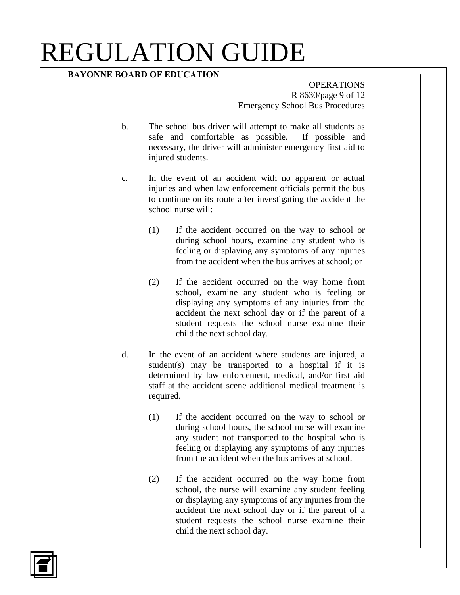### **BAYONNE BOARD OF EDUCATION**

**OPERATIONS** R 8630/page 9 of 12 Emergency School Bus Procedures

- b. The school bus driver will attempt to make all students as safe and comfortable as possible. If possible and necessary, the driver will administer emergency first aid to injured students.
- c. In the event of an accident with no apparent or actual injuries and when law enforcement officials permit the bus to continue on its route after investigating the accident the school nurse will:
	- (1) If the accident occurred on the way to school or during school hours, examine any student who is feeling or displaying any symptoms of any injuries from the accident when the bus arrives at school; or
	- (2) If the accident occurred on the way home from school, examine any student who is feeling or displaying any symptoms of any injuries from the accident the next school day or if the parent of a student requests the school nurse examine their child the next school day.
- d. In the event of an accident where students are injured, a student(s) may be transported to a hospital if it is determined by law enforcement, medical, and/or first aid staff at the accident scene additional medical treatment is required.
	- (1) If the accident occurred on the way to school or during school hours, the school nurse will examine any student not transported to the hospital who is feeling or displaying any symptoms of any injuries from the accident when the bus arrives at school.
	- (2) If the accident occurred on the way home from school, the nurse will examine any student feeling or displaying any symptoms of any injuries from the accident the next school day or if the parent of a student requests the school nurse examine their child the next school day.

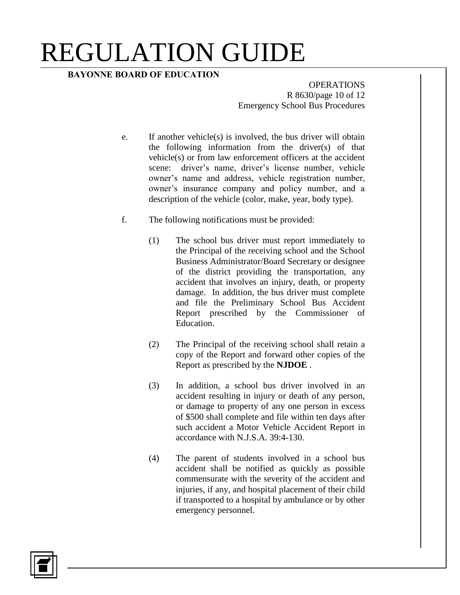### **BAYONNE BOARD OF EDUCATION**

**OPERATIONS** R 8630/page 10 of 12 Emergency School Bus Procedures

- e. If another vehicle(s) is involved, the bus driver will obtain the following information from the driver(s) of that vehicle(s) or from law enforcement officers at the accident scene: driver's name, driver's license number, vehicle owner's name and address, vehicle registration number, owner's insurance company and policy number, and a description of the vehicle (color, make, year, body type).
- f. The following notifications must be provided:
	- (1) The school bus driver must report immediately to the Principal of the receiving school and the School Business Administrator/Board Secretary or designee of the district providing the transportation, any accident that involves an injury, death, or property damage. In addition, the bus driver must complete and file the Preliminary School Bus Accident Report prescribed by the Commissioner of Education.
	- (2) The Principal of the receiving school shall retain a copy of the Report and forward other copies of the Report as prescribed by the **NJDOE** .
	- (3) In addition, a school bus driver involved in an accident resulting in injury or death of any person, or damage to property of any one person in excess of \$500 shall complete and file within ten days after such accident a Motor Vehicle Accident Report in accordance with N.J.S.A. 39:4-130.
	- (4) The parent of students involved in a school bus accident shall be notified as quickly as possible commensurate with the severity of the accident and injuries, if any, and hospital placement of their child if transported to a hospital by ambulance or by other emergency personnel.

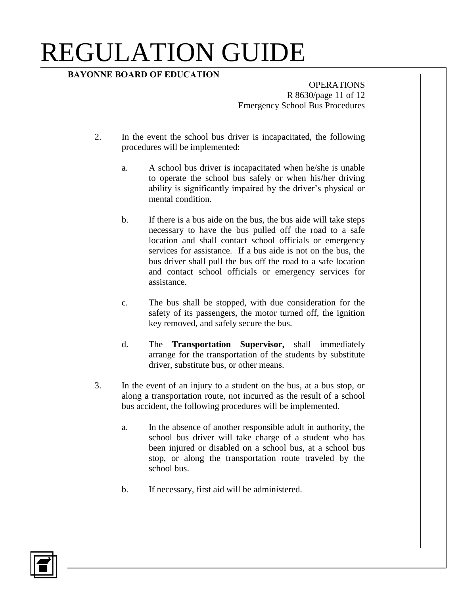## **BAYONNE BOARD OF EDUCATION**

**OPERATIONS** R 8630/page 11 of 12 Emergency School Bus Procedures

- 2. In the event the school bus driver is incapacitated, the following procedures will be implemented:
	- a. A school bus driver is incapacitated when he/she is unable to operate the school bus safely or when his/her driving ability is significantly impaired by the driver's physical or mental condition.
	- b. If there is a bus aide on the bus, the bus aide will take steps necessary to have the bus pulled off the road to a safe location and shall contact school officials or emergency services for assistance. If a bus aide is not on the bus, the bus driver shall pull the bus off the road to a safe location and contact school officials or emergency services for assistance.
	- c. The bus shall be stopped, with due consideration for the safety of its passengers, the motor turned off, the ignition key removed, and safely secure the bus.
	- d. The **Transportation Supervisor,** shall immediately arrange for the transportation of the students by substitute driver, substitute bus, or other means.
- 3. In the event of an injury to a student on the bus, at a bus stop, or along a transportation route, not incurred as the result of a school bus accident, the following procedures will be implemented.
	- a. In the absence of another responsible adult in authority, the school bus driver will take charge of a student who has been injured or disabled on a school bus, at a school bus stop, or along the transportation route traveled by the school bus.
	- b. If necessary, first aid will be administered.